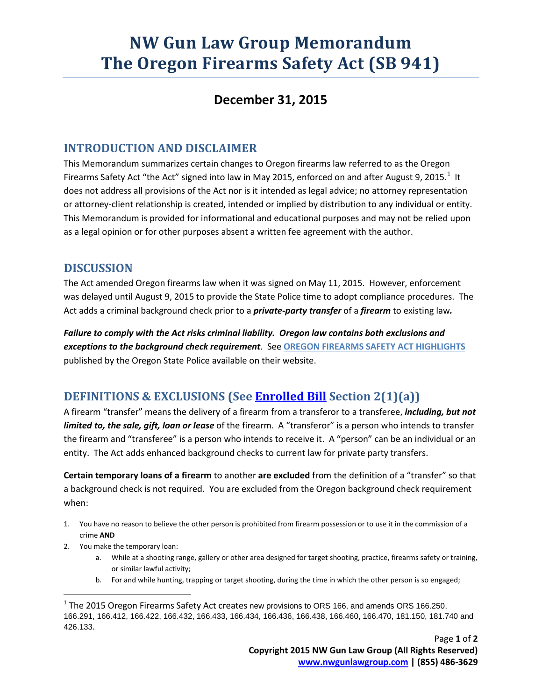# **NW Gun Law Group Memorandum The Oregon Firearms Safety Act (SB 941)**

### **December 31, 2015**

#### **INTRODUCTION AND DISCLAIMER**

This Memorandum summarizes certain changes to Oregon firearms law referred to as the Oregon Firearms Safety Act "the Act" signed into law in May 20[1](#page-0-0)5, enforced on and after August 9, 2015.<sup>1</sup> It does not address all provisions of the Act nor is it intended as legal advice; no attorney representation or attorney-client relationship is created, intended or implied by distribution to any individual or entity. This Memorandum is provided for informational and educational purposes and may not be relied upon as a legal opinion or for other purposes absent a written fee agreement with the author.

#### **DISCUSSION**

The Act amended Oregon firearms law when it was signed on May 11, 2015. However, enforcement was delayed until August 9, 2015 to provide the State Police time to adopt compliance procedures. The Act adds a criminal background check prior to a *private-party transfer* of a *firearm* to existing law*.* 

*Failure to comply with the Act risks criminal liability. Oregon law contains both exclusions and exceptions to the background check requirement*. See **[OREGON FIREARMS SAFETY ACT HIGHLIGHTS](http://www.oregon.gov/osp/docs/SB941_Information_Sheet.pdf)** published by the Oregon State Police available on their website.

## **DEFINITIONS & EXCLUSIONS (See [Enrolled Bill](https://olis.leg.state.or.us/liz/2015R1/Downloads/MeasureDocument/SB941/Enrolled) Section 2(1)(a))**

A firearm "transfer" means the delivery of a firearm from a transferor to a transferee, *including, but not limited to, the sale, gift, loan or lease* of the firearm. A "transferor" is a person who intends to transfer the firearm and "transferee" is a person who intends to receive it. A "person" can be an individual or an entity. The Act adds enhanced background checks to current law for private party transfers.

**Certain temporary loans of a firearm** to another **are excluded** from the definition of a "transfer" so that a background check is not required. You are excluded from the Oregon background check requirement when:

- 1. You have no reason to believe the other person is prohibited from firearm possession or to use it in the commission of a crime **AND**
- 2. You make the temporary loan:
	- a. While at a shooting range, gallery or other area designed for target shooting, practice, firearms safety or training, or similar lawful activity;
	- b. For and while hunting, trapping or target shooting, during the time in which the other person is so engaged;

<span id="page-0-0"></span> $<sup>1</sup>$  The 2015 Oregon Firearms Safety Act creates new provisions to ORS 166, and amends ORS 166.250,</sup> 166.291, 166.412, 166.422, 166.432, 166.433, 166.434, 166.436, 166.438, 166.460, 166.470, 181.150, 181.740 and 426.133.